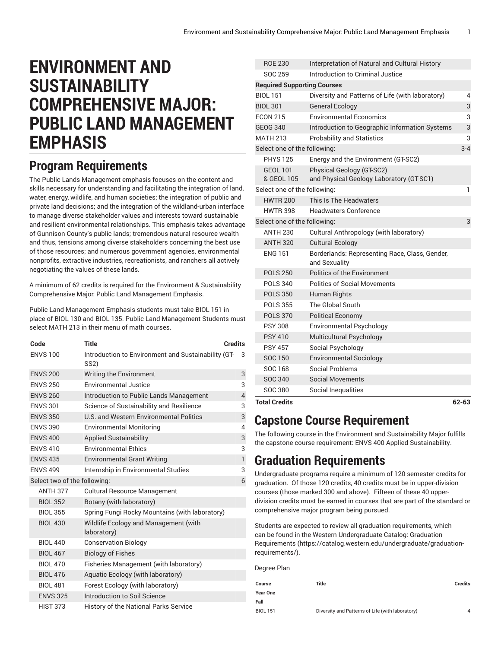## **ENVIRONMENT AND SUSTAINABILITY COMPREHENSIVE MAJOR: PUBLIC LAND MANAGEMENT EMPHASIS**

## **Program Requirements**

The Public Lands Management emphasis focuses on the content and skills necessary for understanding and facilitating the integration of land, water, energy, wildlife, and human societies; the integration of public and private land decisions; and the integration of the wildland-urban interface to manage diverse stakeholder values and interests toward sustainable and resilient environmental relationships. This emphasis takes advantage of Gunnison County's public lands; tremendous natural resource wealth and thus, tensions among diverse stakeholders concerning the best use of those resources; and numerous government agencies, environmental nonprofits, extractive industries, recreationists, and ranchers all actively negotiating the values of these lands.

A minimum of 62 credits is required for the Environment & Sustainability Comprehensive Major: Public Land Management Emphasis.

Public Land Management Emphasis students must take BIOL 151 in place of BIOL 130 and BIOL 135. Public Land Management Students must select MATH 213 in their menu of math courses.

| Code                         | <b>Title</b>                                                             | <b>Credits</b> |
|------------------------------|--------------------------------------------------------------------------|----------------|
| <b>ENVS 100</b>              | Introduction to Environment and Sustainability (GT-<br>SS <sub>2</sub> ) | 3              |
| <b>ENVS 200</b>              | Writing the Environment                                                  | 3              |
| <b>ENVS 250</b>              | <b>Environmental Justice</b>                                             | 3              |
| <b>ENVS 260</b>              | Introduction to Public Lands Management                                  | $\overline{4}$ |
| <b>ENVS 301</b>              | Science of Sustainability and Resilience                                 | 3              |
| <b>ENVS 350</b>              | U.S. and Western Environmental Politics                                  | 3              |
| <b>ENVS 390</b>              | <b>Environmental Monitoring</b>                                          | $\overline{4}$ |
| <b>ENVS 400</b>              | <b>Applied Sustainability</b>                                            | 3              |
| <b>ENVS 410</b>              | <b>Environmental Ethics</b>                                              | 3              |
| <b>ENVS 435</b>              | <b>Environmental Grant Writing</b>                                       | $\mathbf{1}$   |
| <b>ENVS 499</b>              | Internship in Environmental Studies                                      | 3              |
| Select two of the following: |                                                                          | 6              |
| <b>ANTH 377</b>              | <b>Cultural Resource Management</b>                                      |                |
| <b>BIOL 352</b>              | Botany (with laboratory)                                                 |                |
| <b>BIOL 355</b>              | Spring Fungi Rocky Mountains (with laboratory)                           |                |
| <b>BIOL 430</b>              | Wildlife Ecology and Management (with<br>laboratory)                     |                |
| <b>BIOL 440</b>              | <b>Conservation Biology</b>                                              |                |
| <b>BIOL 467</b>              | <b>Biology of Fishes</b>                                                 |                |
| <b>BIOL 470</b>              | Fisheries Management (with laboratory)                                   |                |
| <b>BIOL 476</b>              | Aquatic Ecology (with laboratory)                                        |                |
| <b>BIOL 481</b>              | Forest Ecology (with laboratory)                                         |                |
| <b>ENVS 325</b>              | Introduction to Soil Science                                             |                |
| <b>HIST 373</b>              | History of the National Parks Service                                    |                |

| <b>ROE 230</b>                     | Interpretation of Natural and Cultural History                  |         |
|------------------------------------|-----------------------------------------------------------------|---------|
| <b>SOC 259</b>                     | Introduction to Criminal Justice                                |         |
| <b>Required Supporting Courses</b> |                                                                 |         |
| <b>BIOL 151</b>                    | Diversity and Patterns of Life (with laboratory)                | 4       |
| <b>BIOL 301</b>                    | <b>General Ecology</b>                                          | 3       |
| <b>ECON 215</b>                    | <b>Environmental Economics</b>                                  | 3       |
| <b>GEOG 340</b>                    | Introduction to Geographic Information Systems                  | 3       |
| <b>MATH 213</b>                    | <b>Probability and Statistics</b>                               | 3       |
| Select one of the following:       |                                                                 | $3 - 4$ |
| <b>PHYS 125</b>                    | Energy and the Environment (GT-SC2)                             |         |
| <b>GEOL 101</b>                    | Physical Geology (GT-SC2)                                       |         |
| & GEOL 105                         | and Physical Geology Laboratory (GT-SC1)                        |         |
| Select one of the following:       |                                                                 | 1       |
| <b>HWTR 200</b>                    | This Is The Headwaters                                          |         |
| <b>HWTR 398</b>                    | <b>Headwaters Conference</b>                                    |         |
| Select one of the following:       |                                                                 | 3       |
| <b>ANTH 230</b>                    | Cultural Anthropology (with laboratory)                         |         |
| <b>ANTH 320</b>                    | <b>Cultural Ecology</b>                                         |         |
| <b>ENG 151</b>                     | Borderlands: Representing Race, Class, Gender,<br>and Sexuality |         |
| <b>POLS 250</b>                    | <b>Politics of the Environment</b>                              |         |
| <b>POLS 340</b>                    | <b>Politics of Social Movements</b>                             |         |
| <b>POLS 350</b>                    | Human Rights                                                    |         |
| <b>POLS 355</b>                    | The Global South                                                |         |
| <b>POLS 370</b>                    | <b>Political Economy</b>                                        |         |
| <b>PSY 308</b>                     | Environmental Psychology                                        |         |
| <b>PSY 410</b>                     | Multicultural Psychology                                        |         |
| <b>PSY 457</b>                     | Social Psychology                                               |         |
| SOC 150                            | <b>Environmental Sociology</b>                                  |         |
| <b>SOC 168</b>                     | Social Problems                                                 |         |
| SOC 340                            | Social Movements                                                |         |
| <b>SOC 380</b>                     | Social Inequalities                                             |         |
| <b>Total Credits</b>               |                                                                 | 62-63   |

## **Capstone Course Requirement**

The following course in the Environment and Sustainability Major fulfills the capstone course requirement: ENVS 400 Applied Sustainability.

## **Graduation Requirements**

Undergraduate programs require a minimum of 120 semester credits for graduation. Of those 120 credits, 40 credits must be in upper-division courses (those marked 300 and above). Fifteen of these 40 upperdivision credits must be earned in courses that are part of the standard or comprehensive major program being pursued.

Students are expected to review all graduation requirements, which can be found in the Western Undergraduate Catalog: [Graduation](https://catalog.western.edu/undergraduate/graduation-requirements/) [Requirements \(https://catalog.western.edu/undergraduate/graduation](https://catalog.western.edu/undergraduate/graduation-requirements/)[requirements/](https://catalog.western.edu/undergraduate/graduation-requirements/)).

| Degree Plan     |                                                  |         |   |
|-----------------|--------------------------------------------------|---------|---|
| Course          | Title                                            | Credits |   |
| <b>Year One</b> |                                                  |         |   |
| Fall            |                                                  |         |   |
| <b>BIOL 151</b> | Diversity and Patterns of Life (with laboratory) |         | 4 |
|                 |                                                  |         |   |